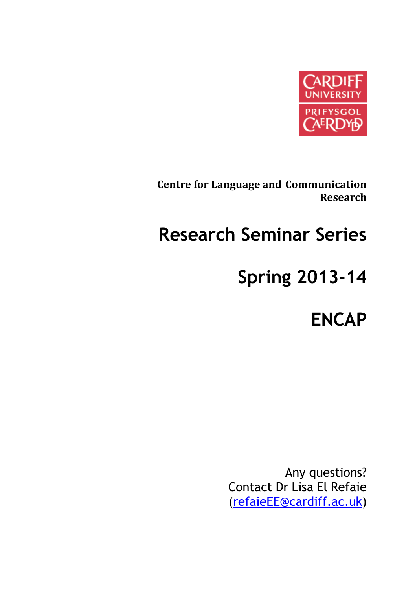

**Centre for Language and Communication Research**

# **Research Seminar Series**

# **Spring 2013-14**

**ENCAP**

Any questions? Contact Dr Lisa El Refaie [\(refaieEE@cardiff.ac.uk\)](mailto:refaieEE@cardiff.ac.uk)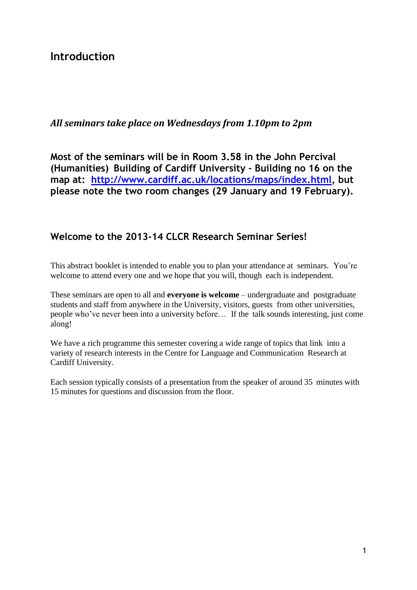## **Introduction**

### *All seminars take place on Wednesdays from 1.10pm to 2pm*

**Most of the seminars will be in Room 3.58 in the John Percival (Humanities) Building of Cardiff University – Building no 16 on the map at: [http://www.cardiff.ac.uk/locations/maps/index.html,](http://www.cardiff.ac.uk/locations/maps/index.html) but please note the two room changes (29 January and 19 February).**

### **Welcome to the 2013-14 CLCR Research Seminar Series!**

This abstract booklet is intended to enable you to plan your attendance at seminars. You're welcome to attend every one and we hope that you will, though each is independent.

These seminars are open to all and **everyone is welcome** – undergraduate and postgraduate students and staff from anywhere in the University, visitors, guests from other universities, people who've never been into a university before… If the talk sounds interesting, just come along!

We have a rich programme this semester covering a wide range of topics that link into a variety of research interests in the Centre for Language and Communication Research at Cardiff University.

Each session typically consists of a presentation from the speaker of around 35 minutes with 15 minutes for questions and discussion from the floor.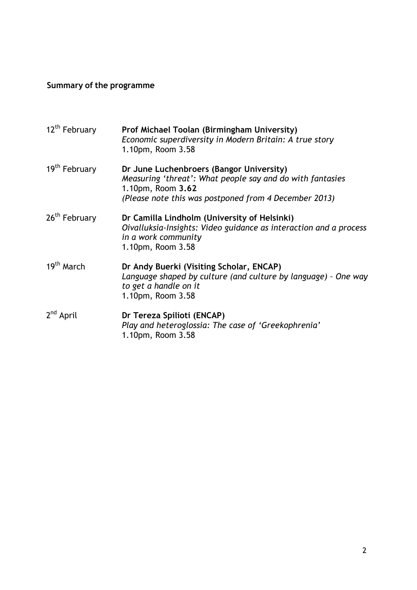## **Summary of the programme**

| 12 <sup>th</sup> February | Prof Michael Toolan (Birmingham University)<br>Economic superdiversity in Modern Britain: A true story<br>1.10pm, Room 3.58                                                         |
|---------------------------|-------------------------------------------------------------------------------------------------------------------------------------------------------------------------------------|
| 19 <sup>th</sup> February | Dr June Luchenbroers (Bangor University)<br>Measuring 'threat': What people say and do with fantasies<br>1.10pm, Room 3.62<br>(Please note this was postponed from 4 December 2013) |
| 26 <sup>th</sup> February | Dr Camilla Lindholm (University of Helsinki)<br>Oivalluksia-Insights: Video guidance as interaction and a process<br>in a work community<br>1.10pm, Room 3.58                       |
| 19 <sup>th</sup> March    | Dr Andy Buerki (Visiting Scholar, ENCAP)<br>Language shaped by culture (and culture by language) - One way<br>to get a handle on it<br>1.10pm, Room 3.58                            |
| $2nd$ April               | Dr Tereza Spilioti (ENCAP)<br>Play and heteroglossia: The case of 'Greekophrenia'<br>1.10pm, Room 3.58                                                                              |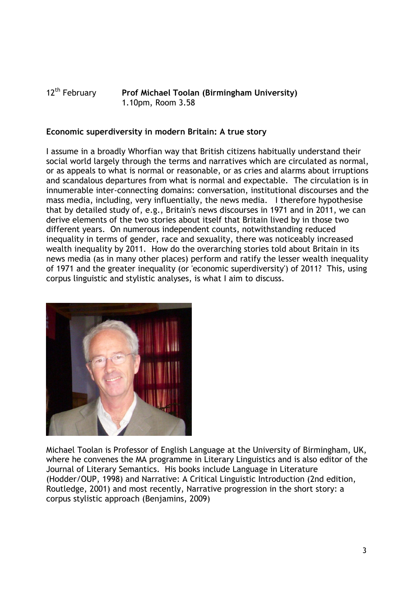#### 12th February **Prof Michael Toolan (Birmingham University)** 1.10pm, Room 3.58

#### **Economic superdiversity in modern Britain: A true story**

I assume in a broadly Whorfian way that British citizens habitually understand their social world largely through the terms and narratives which are circulated as normal, or as appeals to what is normal or reasonable, or as cries and alarms about irruptions and scandalous departures from what is normal and expectable. The circulation is in innumerable inter-connecting domains: conversation, institutional discourses and the mass media, including, very influentially, the news media. I therefore hypothesise that by detailed study of, e.g., Britain's news discourses in 1971 and in 2011, we can derive elements of the two stories about itself that Britain lived by in those two different years. On numerous independent counts, notwithstanding reduced inequality in terms of gender, race and sexuality, there was noticeably increased wealth inequality by 2011. How do the overarching stories told about Britain in its news media (as in many other places) perform and ratify the lesser wealth inequality of 1971 and the greater inequality (or 'economic superdiversity') of 2011? This, using corpus linguistic and stylistic analyses, is what I aim to discuss.



Michael Toolan is Professor of English Language at the University of Birmingham, UK, where he convenes the MA programme in Literary Linguistics and is also editor of the Journal of Literary Semantics. His books include Language in Literature (Hodder/OUP, 1998) and Narrative: A Critical Linguistic Introduction (2nd edition, Routledge, 2001) and most recently, Narrative progression in the short story: a corpus stylistic approach (Benjamins, 2009)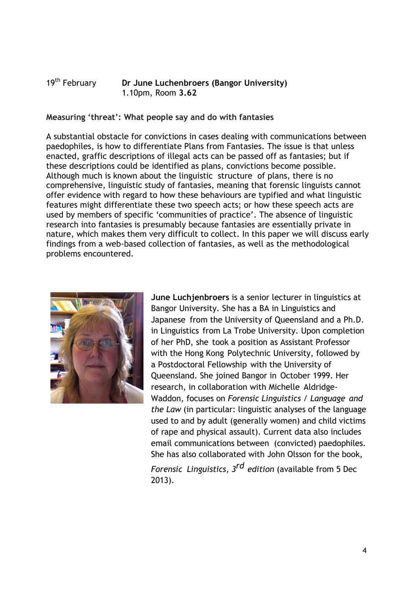#### 19th February **Dr June Luchenbroers (Bangor University)**  1.10pm, Room **3.62**

**Measuring 'threat': What people say and do with fantasies**

A substantial obstacle for convictions in cases dealing with communications between paedophiles, is how to differentiate Plans from Fantasies. The issue is that unless enacted, graffic descriptions of illegal acts can be passed off as fantasies; but if these descriptions could be identified as plans, convictions become possible. Although much is known about the linguistic structure of plans, there is no comprehensive, linguistic study of fantasies, meaning that forensic linguists cannot offer evidence with regard to how these behaviours are typified and what linguistic features might differentiate these two speech acts; or how these speech acts are used by members of specific 'communities of practice'. The absence of linguistic research into fantasies is presumably because fantasies are essentially private in nature, which makes them very difficult to collect. In this paper we will discuss early findings from a web-based collection of fantasies, as well as the methodological problems encountered.



**June Luchjenbroers** is a senior lecturer in linguistics at Bangor University. She has a BA in Linguistics and Japanese from the University of Queensland and a Ph.D. in Linguistics from La Trobe University. Upon completion of her PhD, she took a position as Assistant Professor with the Hong Kong Polytechnic University, followed by a Postdoctoral Fellowship with the University of Queensland. She joined Bangor in October 1999. Her research, in collaboration with Michelle Aldridge-Waddon, focuses on *Forensic Linguistics / Language and the Law* (in particular: linguistic analyses of the language used to and by adult (generally women) and child victims of rape and physical assault). Current data also includes email communications between (convicted) paedophiles. She has also collaborated with John Olsson for the book,

*Forensic Linguistics, 3rd edition* (available from 5 Dec 2013).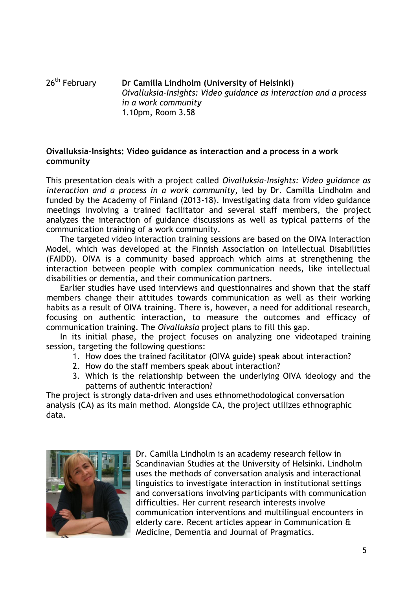#### 26th February **Dr Camilla Lindholm (University of Helsinki)** *Oivalluksia-Insights: Video guidance as interaction and a process in a work community* 1.10pm, Room 3.58

#### **Oivalluksia-Insights: Video guidance as interaction and a process in a work community**

This presentation deals with a project called *Oivalluksia-Insights: Video guidance as interaction and a process in a work community*, led by Dr. Camilla Lindholm and funded by the Academy of Finland (2013-18). Investigating data from video guidance meetings involving a trained facilitator and several staff members, the project analyzes the interaction of guidance discussions as well as typical patterns of the communication training of a work community.

The targeted video interaction training sessions are based on the OIVA Interaction Model, which was developed at the Finnish Association on Intellectual Disabilities (FAIDD). OIVA is a community based approach which aims at strengthening the interaction between people with complex communication needs, like intellectual disabilities or dementia, and their communication partners.

Earlier studies have used interviews and questionnaires and shown that the staff members change their attitudes towards communication as well as their working habits as a result of OIVA training. There is, however, a need for additional research, focusing on authentic interaction, to measure the outcomes and efficacy of communication training. The *Oivalluksia* project plans to fill this gap.

In its initial phase, the project focuses on analyzing one videotaped training session, targeting the following questions:

- 1. How does the trained facilitator (OIVA guide) speak about interaction?
- 2. How do the staff members speak about interaction?
- 3. Which is the relationship between the underlying OIVA ideology and the patterns of authentic interaction?

The project is strongly data-driven and uses ethnomethodological conversation analysis (CA) as its main method. Alongside CA, the project utilizes ethnographic data.



Dr. Camilla Lindholm is an academy research fellow in Scandinavian Studies at the University of Helsinki. Lindholm uses the methods of conversation analysis and interactional linguistics to investigate interaction in institutional settings and conversations involving participants with communication difficulties. Her current research interests involve communication interventions and multilingual encounters in elderly care. Recent articles appear in Communication & Medicine, Dementia and Journal of Pragmatics.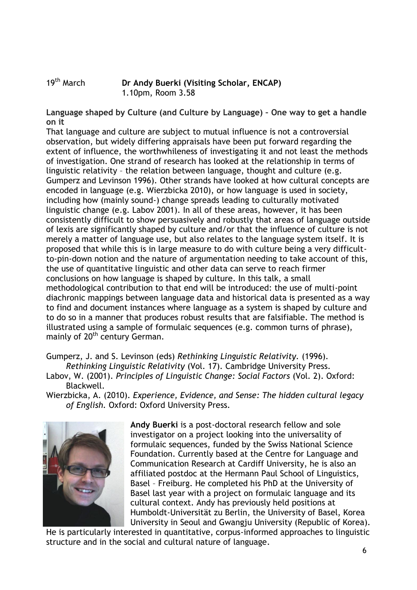19th March **Dr Andy Buerki (Visiting Scholar, ENCAP)** 1.10pm, Room 3.58

**Language shaped by Culture (and Culture by Language) – One way to get a handle on it**

That language and culture are subject to mutual influence is not a controversial observation, but widely differing appraisals have been put forward regarding the extent of influence, the worthwhileness of investigating it and not least the methods of investigation. One strand of research has looked at the relationship in terms of linguistic relativity – the relation between language, thought and culture (e.g. Gumperz and Levinson 1996). Other strands have looked at how cultural concepts are encoded in language (e.g. Wierzbicka 2010), or how language is used in society, including how (mainly sound-) change spreads leading to culturally motivated linguistic change (e.g. Labov 2001). In all of these areas, however, it has been consistently difficult to show persuasively and robustly that areas of language outside of lexis are significantly shaped by culture and/or that the influence of culture is not merely a matter of language use, but also relates to the language system itself. It is proposed that while this is in large measure to do with culture being a very difficultto-pin-down notion and the nature of argumentation needing to take account of this, the use of quantitative linguistic and other data can serve to reach firmer conclusions on how language is shaped by culture. In this talk, a small methodological contribution to that end will be introduced: the use of multi-point diachronic mappings between language data and historical data is presented as a way to find and document instances where language as a system is shaped by culture and to do so in a manner that produces robust results that are falsifiable. The method is illustrated using a sample of formulaic sequences (e.g. common turns of phrase), mainly of 20<sup>th</sup> century German.

Gumperz, J. and S. Levinson (eds) *Rethinking Linguistic Relativity.* (1996).

*Rethinking Linguistic Relativity* (Vol. 17). Cambridge University Press.

- Labov, W. (2001). *Principles of Linguistic Change: Social Factors* (Vol. 2). Oxford: Blackwell.
- Wierzbicka, A. (2010). *Experience, Evidence, and Sense: The hidden cultural legacy of English.* Oxford: Oxford University Press.



**Andy Buerki** is a post-doctoral research fellow and sole investigator on a project looking into the universality of formulaic sequences, funded by the Swiss National Science Foundation. Currently based at the Centre for Language and Communication Research at Cardiff University, he is also an affiliated postdoc at the Hermann Paul School of Linguistics, Basel – Freiburg. He completed his PhD at the University of Basel last year with a project on formulaic language and its cultural context. Andy has previously held positions at Humboldt-Universität zu Berlin, the University of Basel, Korea University in Seoul and Gwangju University (Republic of Korea).

He is particularly interested in quantitative, corpus-informed approaches to linguistic structure and in the social and cultural nature of language.